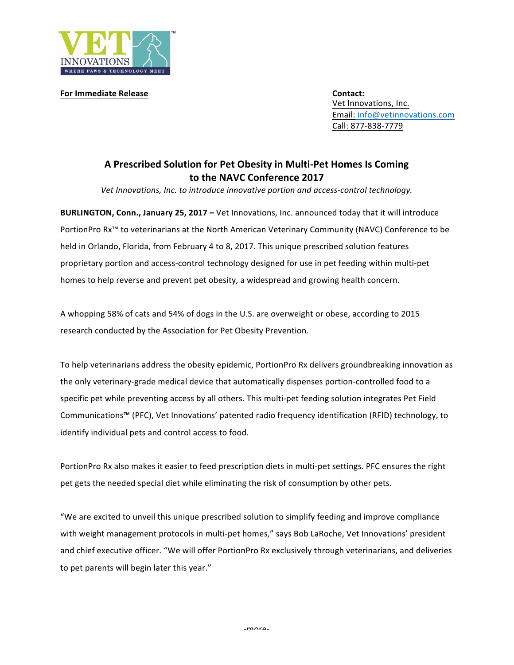

**For Immediate Release Contact: Contact: Contact:** 

Vet Innovations, Inc. Email: info@vetinnovations.com Call: 877-838-7779

## **A Prescribed Solution for Pet Obesity in Multi-Pet Homes Is Coming to the NAVC Conference 2017**

Vet Innovations, Inc. to introduce innovative portion and access-control *technology*.

**BURLINGTON, Conn., January 25, 2017 – Vet Innovations, Inc. announced today that it will introduce** PortionPro Rx<sup>™</sup> to veterinarians at the North American Veterinary Community (NAVC) Conference to be held in Orlando, Florida, from February 4 to 8, 2017. This unique prescribed solution features proprietary portion and access-control technology designed for use in pet feeding within multi-pet homes to help reverse and prevent pet obesity, a widespread and growing health concern.

A whopping 58% of cats and 54% of dogs in the U.S. are overweight or obese, according to 2015 research conducted by the Association for Pet Obesity Prevention.

To help veterinarians address the obesity epidemic, PortionPro Rx delivers groundbreaking innovation as the only veterinary-grade medical device that automatically dispenses portion-controlled food to a specific pet while preventing access by all others. This multi-pet feeding solution integrates Pet Field Communications™ (PFC), Vet Innovations' patented radio frequency identification (RFID) technology, to identify individual pets and control access to food.

PortionPro Rx also makes it easier to feed prescription diets in multi-pet settings. PFC ensures the right pet gets the needed special diet while eliminating the risk of consumption by other pets.

"We are excited to unveil this unique prescribed solution to simplify feeding and improve compliance with weight management protocols in multi-pet homes," says Bob LaRoche, Vet Innovations' president and chief executive officer. "We will offer PortionPro Rx exclusively through veterinarians, and deliveries to pet parents will begin later this year."